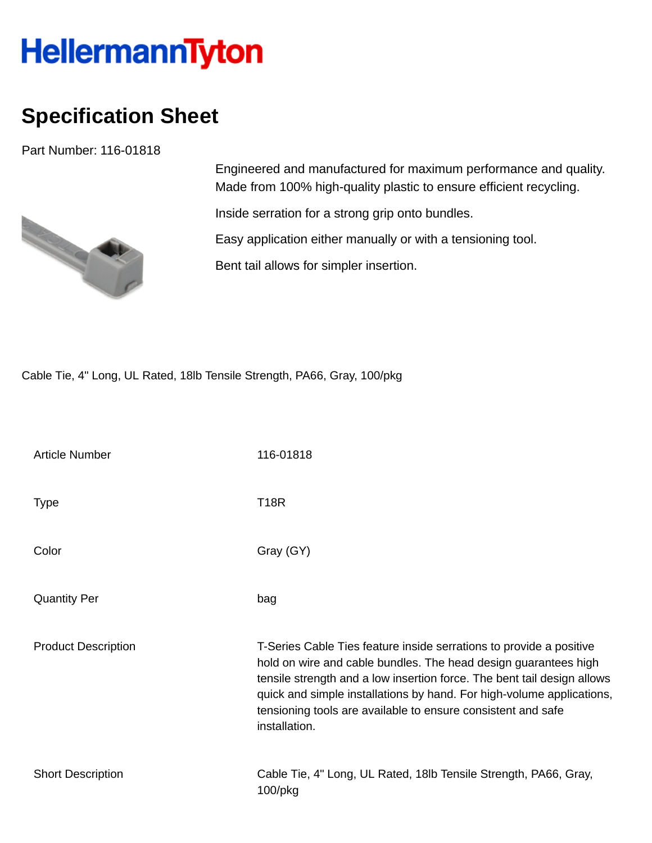## **HellermannTyton**

## **Specification Sheet**

Part Number: 116-01818



Engineered and manufactured for maximum performance and quality. Made from 100% high-quality plastic to ensure efficient recycling.

Inside serration for a strong grip onto bundles.

Easy application either manually or with a tensioning tool.

Bent tail allows for simpler insertion.

Cable Tie, 4" Long, UL Rated, 18lb Tensile Strength, PA66, Gray, 100/pkg

| Article Number             | 116-01818                                                                                                                                                                                                                                                                                                                                                                   |
|----------------------------|-----------------------------------------------------------------------------------------------------------------------------------------------------------------------------------------------------------------------------------------------------------------------------------------------------------------------------------------------------------------------------|
| <b>Type</b>                | <b>T18R</b>                                                                                                                                                                                                                                                                                                                                                                 |
| Color                      | Gray (GY)                                                                                                                                                                                                                                                                                                                                                                   |
| <b>Quantity Per</b>        | bag                                                                                                                                                                                                                                                                                                                                                                         |
| <b>Product Description</b> | T-Series Cable Ties feature inside serrations to provide a positive<br>hold on wire and cable bundles. The head design guarantees high<br>tensile strength and a low insertion force. The bent tail design allows<br>quick and simple installations by hand. For high-volume applications,<br>tensioning tools are available to ensure consistent and safe<br>installation. |
| <b>Short Description</b>   | Cable Tie, 4" Long, UL Rated, 18lb Tensile Strength, PA66, Gray,<br>100/pkg                                                                                                                                                                                                                                                                                                 |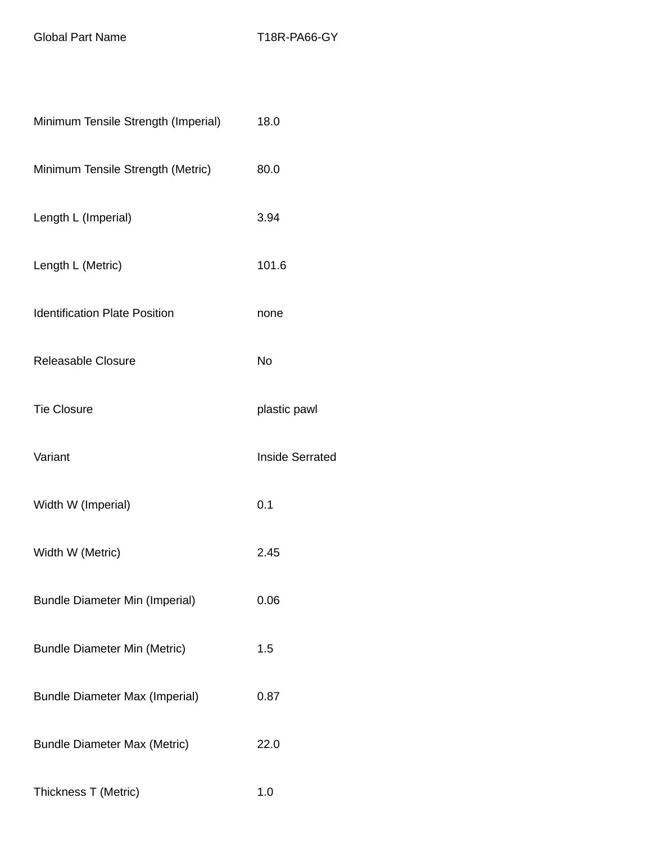Global Part Name T18R-PA66-GY

| Minimum Tensile Strength (Imperial)   | 18.0                   |
|---------------------------------------|------------------------|
| Minimum Tensile Strength (Metric)     | 80.0                   |
| Length L (Imperial)                   | 3.94                   |
| Length L (Metric)                     | 101.6                  |
| <b>Identification Plate Position</b>  | none                   |
| <b>Releasable Closure</b>             | No                     |
| <b>Tie Closure</b>                    | plastic pawl           |
| Variant                               | <b>Inside Serrated</b> |
| Width W (Imperial)                    | 0.1                    |
| Width W (Metric)                      | 2.45                   |
| <b>Bundle Diameter Min (Imperial)</b> | 0.06                   |
| <b>Bundle Diameter Min (Metric)</b>   | 1.5                    |
| <b>Bundle Diameter Max (Imperial)</b> | 0.87                   |
| <b>Bundle Diameter Max (Metric)</b>   | 22.0                   |
| Thickness T (Metric)                  | 1.0                    |